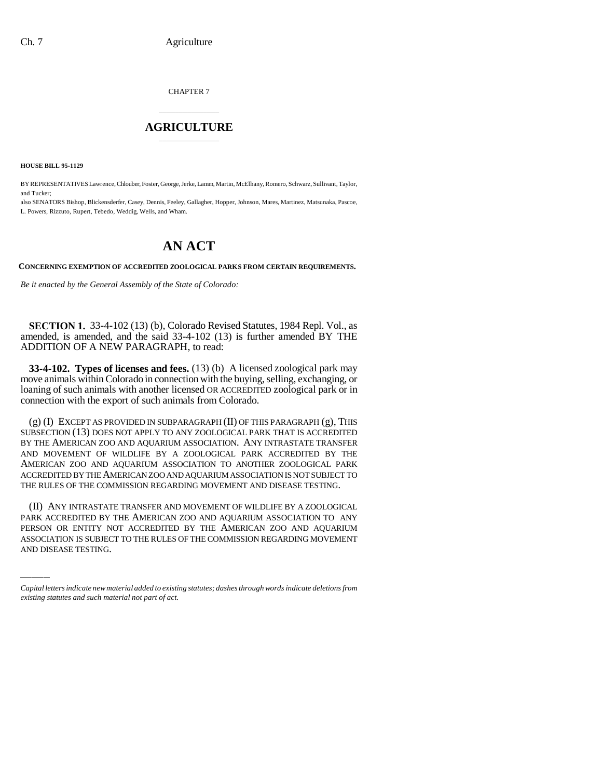CHAPTER 7

## \_\_\_\_\_\_\_\_\_\_\_\_\_\_\_ **AGRICULTURE** \_\_\_\_\_\_\_\_\_\_\_\_\_\_\_

**HOUSE BILL 95-1129**

BY REPRESENTATIVES Lawrence, Chlouber, Foster, George, Jerke, Lamm, Martin, McElhany, Romero, Schwarz, Sullivant, Taylor, and Tucker;

also SENATORS Bishop, Blickensderfer, Casey, Dennis, Feeley, Gallagher, Hopper, Johnson, Mares, Martinez, Matsunaka, Pascoe, L. Powers, Rizzuto, Rupert, Tebedo, Weddig, Wells, and Wham.

## **AN ACT**

**CONCERNING EXEMPTION OF ACCREDITED ZOOLOGICAL PARKS FROM CERTAIN REQUIREMENTS.**

*Be it enacted by the General Assembly of the State of Colorado:*

**SECTION 1.** 33-4-102 (13) (b), Colorado Revised Statutes, 1984 Repl. Vol., as amended, is amended, and the said 33-4-102 (13) is further amended BY THE ADDITION OF A NEW PARAGRAPH, to read:

**33-4-102. Types of licenses and fees.** (13) (b) A licensed zoological park may move animals within Colorado in connection with the buying, selling, exchanging, or loaning of such animals with another licensed OR ACCREDITED zoological park or in connection with the export of such animals from Colorado.

(g) (I) EXCEPT AS PROVIDED IN SUBPARAGRAPH (II) OF THIS PARAGRAPH (g), THIS SUBSECTION (13) DOES NOT APPLY TO ANY ZOOLOGICAL PARK THAT IS ACCREDITED BY THE AMERICAN ZOO AND AQUARIUM ASSOCIATION. ANY INTRASTATE TRANSFER AND MOVEMENT OF WILDLIFE BY A ZOOLOGICAL PARK ACCREDITED BY THE AMERICAN ZOO AND AQUARIUM ASSOCIATION TO ANOTHER ZOOLOGICAL PARK ACCREDITED BY THE AMERICAN ZOO AND AQUARIUM ASSOCIATION IS NOT SUBJECT TO THE RULES OF THE COMMISSION REGARDING MOVEMENT AND DISEASE TESTING.

(II) ANY INTRASTATE TRANSFER AND MOVEMENT OF WILDLIFE BY A ZOOLOGICAL PARK ACCREDITED BY THE AMERICAN ZOO AND AQUARIUM ASSOCIATION TO ANY PERSON OR ENTITY NOT ACCREDITED BY THE AMERICAN ZOO AND AQUARIUM ASSOCIATION IS SUBJECT TO THE RULES OF THE COMMISSION REGARDING MOVEMENT AND DISEASE TESTING.

*Capital letters indicate new material added to existing statutes; dashes through words indicate deletions from existing statutes and such material not part of act.*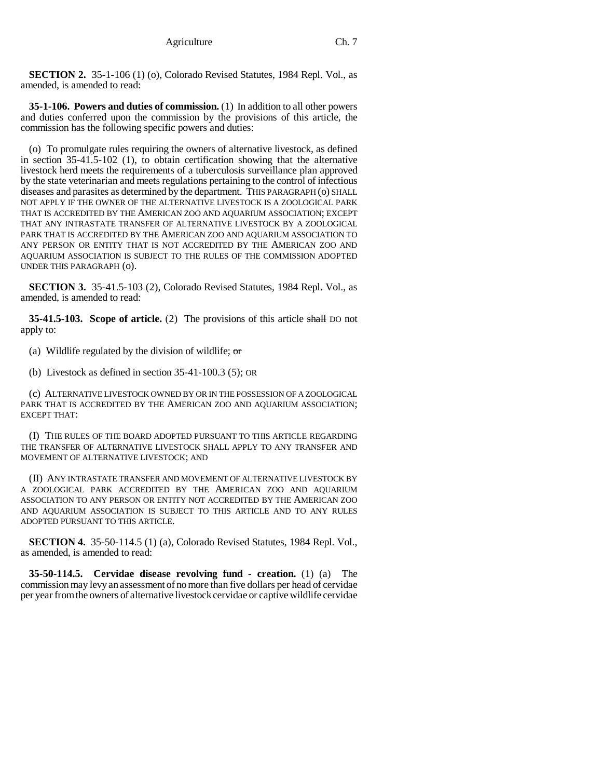**SECTION 2.** 35-1-106 (1) (o), Colorado Revised Statutes, 1984 Repl. Vol., as amended, is amended to read:

**35-1-106. Powers and duties of commission.** (1) In addition to all other powers and duties conferred upon the commission by the provisions of this article, the commission has the following specific powers and duties:

(o) To promulgate rules requiring the owners of alternative livestock, as defined in section 35-41.5-102 (1), to obtain certification showing that the alternative livestock herd meets the requirements of a tuberculosis surveillance plan approved by the state veterinarian and meets regulations pertaining to the control of infectious diseases and parasites as determined by the department. THIS PARAGRAPH (o) SHALL NOT APPLY IF THE OWNER OF THE ALTERNATIVE LIVESTOCK IS A ZOOLOGICAL PARK THAT IS ACCREDITED BY THE AMERICAN ZOO AND AQUARIUM ASSOCIATION; EXCEPT THAT ANY INTRASTATE TRANSFER OF ALTERNATIVE LIVESTOCK BY A ZOOLOGICAL PARK THAT IS ACCREDITED BY THE AMERICAN ZOO AND AQUARIUM ASSOCIATION TO ANY PERSON OR ENTITY THAT IS NOT ACCREDITED BY THE AMERICAN ZOO AND AQUARIUM ASSOCIATION IS SUBJECT TO THE RULES OF THE COMMISSION ADOPTED UNDER THIS PARAGRAPH (o).

**SECTION 3.** 35-41.5-103 (2), Colorado Revised Statutes, 1984 Repl. Vol., as amended, is amended to read:

**35-41.5-103. Scope of article.** (2) The provisions of this article shall DO not apply to:

(a) Wildlife regulated by the division of wildlife;  $\sigma$ 

(b) Livestock as defined in section 35-41-100.3 (5); OR

(c) ALTERNATIVE LIVESTOCK OWNED BY OR IN THE POSSESSION OF A ZOOLOGICAL PARK THAT IS ACCREDITED BY THE AMERICAN ZOO AND AQUARIUM ASSOCIATION; EXCEPT THAT:

(I) THE RULES OF THE BOARD ADOPTED PURSUANT TO THIS ARTICLE REGARDING THE TRANSFER OF ALTERNATIVE LIVESTOCK SHALL APPLY TO ANY TRANSFER AND MOVEMENT OF ALTERNATIVE LIVESTOCK; AND

(II) ANY INTRASTATE TRANSFER AND MOVEMENT OF ALTERNATIVE LIVESTOCK BY A ZOOLOGICAL PARK ACCREDITED BY THE AMERICAN ZOO AND AQUARIUM ASSOCIATION TO ANY PERSON OR ENTITY NOT ACCREDITED BY THE AMERICAN ZOO AND AQUARIUM ASSOCIATION IS SUBJECT TO THIS ARTICLE AND TO ANY RULES ADOPTED PURSUANT TO THIS ARTICLE.

**SECTION 4.** 35-50-114.5 (1) (a), Colorado Revised Statutes, 1984 Repl. Vol., as amended, is amended to read:

**35-50-114.5. Cervidae disease revolving fund - creation.** (1) (a) The commission may levy an assessment of no more than five dollars per head of cervidae per year from the owners of alternative livestock cervidae or captive wildlife cervidae